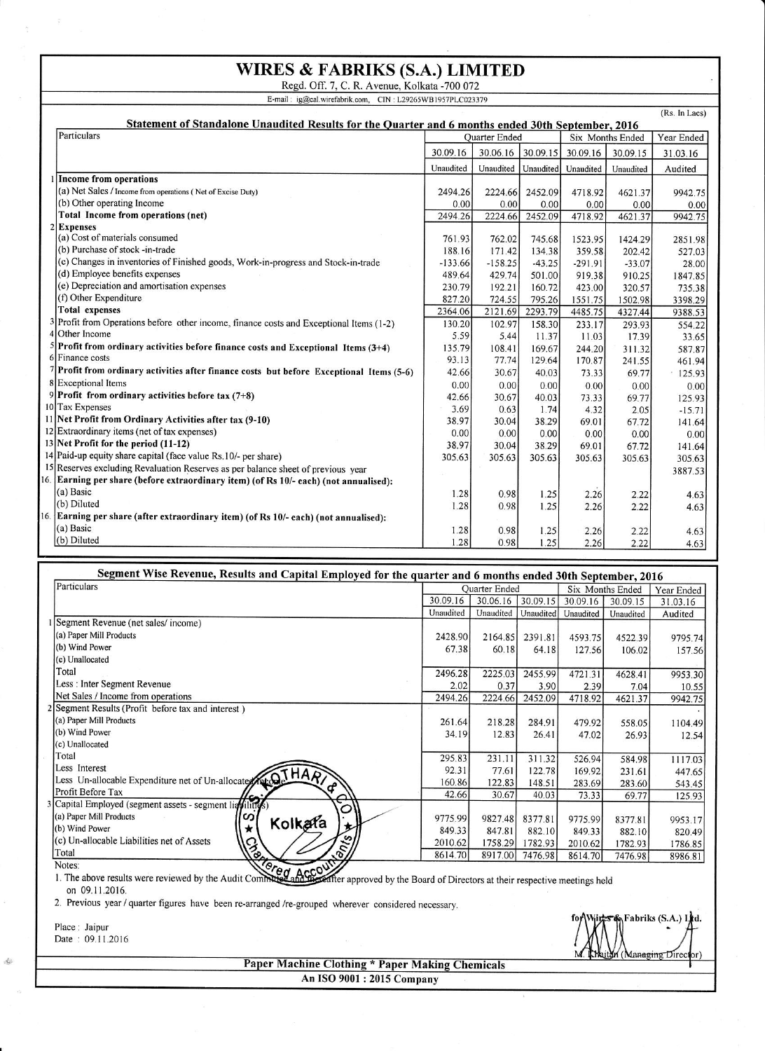## WIRES & FABRIKS (S.A.) LIMITED<br>Regd. Off. 7, C. R. Avenue, Kolkata -700 072

E-mail: ig@cal.wirefabrik.com, CIN:L29265WB1957PLC023379

| (Rs. In Lacs)<br>Statement of Standalone Unaudited Results for the Quarter and 6 months ended 30th September, 2016 |                      |           |           |                  |           |            |
|--------------------------------------------------------------------------------------------------------------------|----------------------|-----------|-----------|------------------|-----------|------------|
| Particulars                                                                                                        | <b>Ouarter Ended</b> |           |           | Six Months Ended |           | Year Ended |
|                                                                                                                    | 30.09.16             | 30.06.16  | 30.09.15  | 30.09.16         | 30.09.15  | 31.03.16   |
|                                                                                                                    | Unaudited            | Unaudited | Unaudited | Unaudited        | Unaudited | Audited    |
| 1 Income from operations                                                                                           |                      |           |           |                  |           |            |
| (a) Net Sales / Income from operations (Net of Excise Duty)                                                        | 2494.26              | 2224.66   | 2452.09   | 4718.92          | 4621.37   | 9942.75    |
| (b) Other operating Income                                                                                         | 0.00                 | 0.00      | 0.00      | 0.00             | 0.00      | 0.00       |
| Total Income from operations (net)                                                                                 | 2494.26              | 2224.66   | 2452.09   | 4718.92          | 4621.37   | 9942.75    |
| 2 Expenses                                                                                                         |                      |           |           |                  |           |            |
| (a) Cost of materials consumed                                                                                     | 761.93               | 762.02    | 745.68    | 1523.95          | 1424.29   | 2851.98    |
| (b) Purchase of stock -in-trade                                                                                    | 188.16               | 171.42    | 134.38    | 359.58           | 202.42    | 527.03     |
| (c) Changes in inventories of Finished goods, Work-in-progress and Stock-in-trade                                  | $-133.66$            | $-158.25$ | $-43.25$  | $-291.91$        | $-33.07$  | 28.00      |
| (d) Employee benefits expenses                                                                                     | 489.64               | 429.74    | 501.00    | 919.38           | 910.25    | 1847.85    |
| (e) Depreciation and amortisation expenses                                                                         | 230.79               | 192.21    | 160.72    | 423.00           | 320.57    | 735.38     |
| (f) Other Expenditure                                                                                              | 827.20               | 724.55    | 795.26    | 1551.75          | 1502.98   | 3398.29    |
| <b>Total expenses</b>                                                                                              | 2364.06              | 2121.69   | 2293.79   | 4485.75          | 4327.44   | 9388.53    |
| 3 Profit from Operations before other income, finance costs and Exceptional Items (1-2)                            | 130.20               | 102.97    | 158.30    | 233.17           | 293.93    | 554.22     |
| 4 Other Income                                                                                                     | 5.59                 | 5.44      | 11.37     | 11.03            | 17.39     | 33.65      |
| $5$ Profit from ordinary activities before finance costs and Exceptional Items (3+4)                               | 135.79               | 108.41    | 169.67    | 244.20           | 311.32    | 587.87     |
| 6 Finance costs                                                                                                    | 93.13                | 77.74     | 129.64    | 170.87           | 241.55    | 461.94     |
| $7$ Profit from ordinary activities after finance costs but before Exceptional Items (5-6)                         | 42.66                | 30.67     | 40.03     | 73.33            | 69.77     | 125.93     |
| 8 Exceptional Items                                                                                                | 0.00                 | 0.00      | 0.00      | 0.00             | 0.00      | 0.00       |
| 9 Profit from ordinary activities before tax $(7+8)$                                                               | 42.66                | 30.67     | 40.03     | 73.33            | 69.77     | 125.93     |
| 10 Tax Expenses                                                                                                    | 3.69                 | 0.63      | 1.74      | 4.32             | 2.05      | $-15.71$   |
| 11 Net Profit from Ordinary Activities after tax (9-10)                                                            | 38.97                | 30.04     | 38.29     | 69.01            | 67.72     | 141.64     |
| 12 Extraordinary items (net of tax expenses)                                                                       | 0.00                 | 0.00      | 0.00      | 0.00             | 0.00      | 0.00       |
| 13 Net Profit for the period (11-12)                                                                               | 38.97                | 30.04     | 38.29     | 69.01            | 67.72     | 141.64     |
| 14 Paid-up equity share capital (face value Rs. 10/- per share)                                                    | 305.63               | 305.63    | 305.63    | 305.63           | 305.63    | 305.63     |
| 15 Reserves excluding Revaluation Reserves as per balance sheet of previous year                                   |                      |           |           |                  |           | 3887.53    |
| 6. Earning per share (before extraordinary item) (of Rs 10/- each) (not annualised):                               |                      |           |           |                  |           |            |
| (a) Basic                                                                                                          | 1.28                 | 0.98      | 1.25      | 2.26             | 2.22      | 4.63       |
| (b) Diluted                                                                                                        | 1.28                 | 0.98      | 1.25      | 2.26             | 2.22      | 4.63       |
| 6. Earning per share (after extraordinary item) (of Rs 10/- each) (not annualised):                                |                      |           |           |                  |           |            |
| $(a)$ Basic                                                                                                        | 1.28                 | 0.98      | 1.25      | 2.26             | 2.22      | 4.63       |
| (b) Diluted                                                                                                        | 1.28                 | 0.98      | 1.25      | 2.26             | 2.22      |            |
|                                                                                                                    |                      |           |           |                  |           | 4.63       |

## Segment Wise Revenue, Results and Capital Employed for the quarter and 6 months ended 30th September, 2016

| Particulars                                                                | <b>Ouarter Ended</b> |           |           | Six Months Ended |           | Year Ended |
|----------------------------------------------------------------------------|----------------------|-----------|-----------|------------------|-----------|------------|
|                                                                            | 30.09.16             | 30.06.16  | 30.09.15  | 30.09.16         | 30.09.15  | 31.03.16   |
|                                                                            | Unaudited            | Unaudited | Unaudited | Unaudited        | Unaudited | Audited    |
| Segment Revenue (net sales/income)                                         |                      |           |           |                  |           |            |
| (a) Paper Mill Products                                                    | 2428.90              | 2164.85   | 2391.81   | 4593.75          | 4522.39   | 9795.74    |
| (b) Wind Power                                                             | 67.38                | 60.18     | 64.18     | 127.56           | 106.02    | 157.56     |
| (c) Unallocated                                                            |                      |           |           |                  |           |            |
| Total                                                                      | 2496.28              | 2225.03   | 2455.99   | 4721.31          | 4628.41   | 9953.30    |
| Less : Inter Segment Revenue                                               | 2.02                 | 0.37      | 3.90      | 2.39             | 7.04      | 10.55      |
| Net Sales / Income from operations                                         | 2494.26              | 2224.66   | 2452.09   | 4718.92          | 4621.37   | 9942.75    |
| 2 Segment Results (Profit before tax and interest)                         |                      |           |           |                  |           |            |
| (a) Paper Mill Products                                                    | 261.64               | 218.28    | 284.91    | 479.92           | 558.05    | 1104.49    |
| (b) Wind Power                                                             | 34.19                | 12.83     | 26.41     | 47.02            | 26.93     | 12.54      |
| (c) Unallocated                                                            |                      |           |           |                  |           |            |
| Total                                                                      | 295.83               | 231.11    | 311.32    | 526.94           | 584.98    | 1117.03    |
|                                                                            | 92.31                | 77.61     | 122.78    | 169.92           | 231.61    | 447.65     |
| Less Interest<br>Less Un-allocable Expenditure net of Un-allocate ALO THAR | 160.86               | 122.83    | 148.51    | 283.69           | 283.60    | 543.45     |
| Profit Before Tax                                                          | 42.66                | 30.67     | 40.03     | 73.33            | 69.77     | 125.93     |
| ⊖<br>3 Capital Employed (segment assets - segment liavilities)<br>O        |                      |           |           |                  |           |            |
| (a) Paper Mill Products<br>ၯ                                               | 9775.99              | 9827.48   | 8377.81   | 9775.99          | 8377.81   | 9953.17    |
| Kolkafa<br>$\star$<br>(b) Wind Power                                       | 849.33               | 847.81    | 882.10    | 849.33           | 882.10    | 820.49     |
| s<br>(c) Un-allocable Liabilities net of Assets                            | 2010.62              | 1758.29   | 1782.93   | 2010.62          | 1782.93   | 1786.85    |
| <b>Sorter</b><br>$\mathcal{E}_{\delta}$<br>Total                           | 8614.70              | 8917.00   | 7476.98   | 8614.70          | 7476.98   | 8986.81    |
| $\sqrt{2}$<br>Notes:                                                       |                      |           |           |                  |           |            |

1. The above results were reviewed by the Audit Communication and the Board of Directors at their respective meetings held on 09.11.2016.

2. Previous year / quarter figures have been re-arranged /re-grouped wherever considered necessary.

Place: Jaipur Date: 09.11.2016

 $\frac{d\phi}{d\phi}$ 

Fabriks (S.A.) Ltd.

**Paper Machine Clothing \* Paper Making Chemicals** An ISO 9001 : 2015 Company